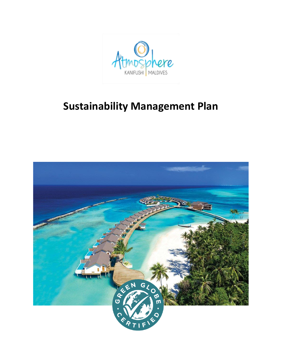

# **Sustainability Management Plan**

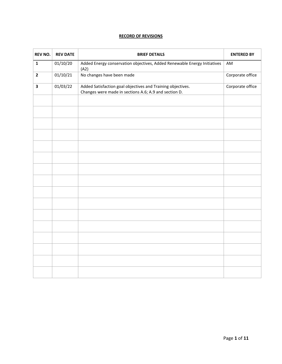# **RECORD OF REVISIONS**

| <b>REV NO.</b>          | <b>REV DATE</b> | <b>BRIEF DETAILS</b>                                                                                                 | <b>ENTERED BY</b> |
|-------------------------|-----------------|----------------------------------------------------------------------------------------------------------------------|-------------------|
| $\mathbf{1}$            | 01/10/20        | Added Energy conservation objectives, Added Renewable Energy Initiatives<br>(A2)                                     | AM                |
| $\overline{\mathbf{2}}$ | 01/10/21        | No changes have been made                                                                                            | Corporate office  |
| $\overline{\mathbf{3}}$ | 01/03/22        | Added Satisfaction goal objectives and Training objectives.<br>Changes were made in sections A.6; A.9 and section D. | Corporate office  |
|                         |                 |                                                                                                                      |                   |
|                         |                 |                                                                                                                      |                   |
|                         |                 |                                                                                                                      |                   |
|                         |                 |                                                                                                                      |                   |
|                         |                 |                                                                                                                      |                   |
|                         |                 |                                                                                                                      |                   |
|                         |                 |                                                                                                                      |                   |
|                         |                 |                                                                                                                      |                   |
|                         |                 |                                                                                                                      |                   |
|                         |                 |                                                                                                                      |                   |
|                         |                 |                                                                                                                      |                   |
|                         |                 |                                                                                                                      |                   |
|                         |                 |                                                                                                                      |                   |
|                         |                 |                                                                                                                      |                   |
|                         |                 |                                                                                                                      |                   |
|                         |                 |                                                                                                                      |                   |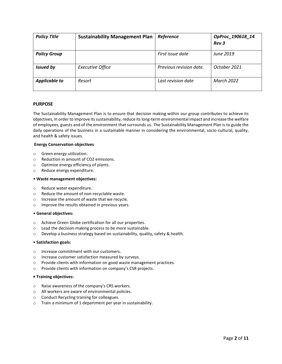| <b>Policy Title</b>  | <b>Sustainability Management Plan</b> | Reference               | OpProc_190618_14<br><b>Rev 3</b> |
|----------------------|---------------------------------------|-------------------------|----------------------------------|
|                      |                                       |                         |                                  |
| <b>Policy Group</b>  |                                       | First issue date        | June 2019                        |
| <b>Issued by</b>     | <b>Executive Office</b>               | Previous revision date. | October 2021                     |
| <b>Applicable to</b> | Resort                                | Last revision date      | <b>March 2022</b>                |

# **PURPOSE**

The Sustainability Management Plan is to ensure that decision making within our group contributes to achieve its objectives, in order to improve its sustainability, reduce its long-term environmental impact and increase the welfare of employees, guests and of the environment that surrounds us. The Sustainability Management Plan is to guide the daily operations of the business in a sustainable manner in considering the environmental, socio-cultural, quality, and health & safety issues.

## **Energy Conservation objectives**

- o Green energy utilization.
- o Reduction in amount of CO2 emissions.
- o Optimize energy efficiency of plants.
- o Reduce energy expenditure.

## • **Waste management objectives:**

- o Reduce water expenditure.
- o Reduce the amount of non-recyclable waste.
- o Increase the amount of waste that we recycle.
- o Improve the results obtained in previous years.

## • **General objectives:**

- o Achieve Green Globe certification for all our properties.
- o Lead the decision-making process to be more sustainable.
- $\circ$  Develop a business strategy based on sustainability, quality, safety & health.

## • **Satisfaction goals:**

- o Increase commitment with our customers.
- o Increase customer satisfaction measured by surveys.
- o Provide clients with information on good waste management practices.
- o Provide clients with information on company's CSR projects.

## **• Training objectives:**

- o Raise awareness of the company's CRS workers.
- o All workers are aware of environmental policies.
- o Conduct Recycling training for colleagues.
- o Train a minimum of 1 department per year in sustainability.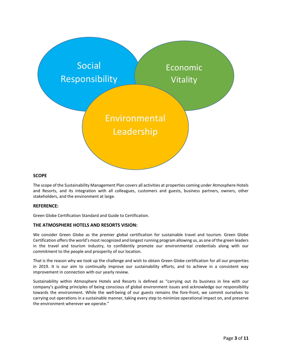

# **SCOPE**

The scope of the Sustainability Management Plan covers all activities at properties coming under Atmosphere Hotels and Resorts, and its integration with all colleagues, customers and guests, business partners, owners, other stakeholders, and the environment at large.

# **REFERENCE:**

Green Globe Certification Standard and Guide to Certification.

# **THE ATMOSPHERE HOTELS AND RESORTS VISION:**

We consider Green Globe as the premier global certification for sustainable travel and tourism. Green Globe Certification offers the world's most recognized and longest running program allowing us, as one of the green leaders in the travel and tourism industry, to confidently promote our environmental credentials along with our commitment to the people and prosperity of our location.

That is the reason why we took up the challenge and wish to obtain Green Globe certification for all our properties in 2019. It is our aim to continually improve our sustainability efforts, and to achieve in a consistent way improvement in connection with our yearly review.

Sustainability within Atmosphere Hotels and Resorts is defined as "carrying out its business in line with our company's guiding principles of being conscious of global environment issues and acknowledge our responsibility towards the environment. While the well-being of our guests remains the fore-front, we commit ourselves to carrying out operations in a sustainable manner, taking every step to minimize operational impact on, and preserve the environment wherever we operate."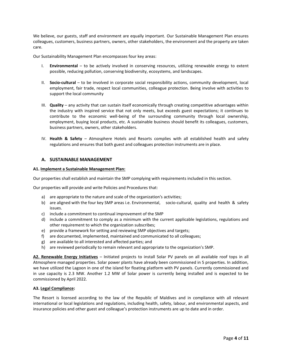We believe, our guests, staff and environment are equally important. Our Sustainable Management Plan ensures colleagues, customers, business partners, owners, other stakeholders, the environment and the property are taken care.

Our Sustainability Management Plan encompasses four key areas:

- I. **Environmental**  to be actively involved in conserving resources, utilizing renewable energy to extent possible, reducing pollution, conserving biodiversity, ecosystems, and landscapes.
- II. **Socio-cultural**  to be involved in corporate social responsibility actions, community development, local employment, fair trade, respect local communities, colleague protection. Being involve with activities to support the local community
- III. **Quality**  any activity that can sustain itself economically through creating competitive advantages within the industry with inspired service that not only meets, but exceeds guest expectations; it continues to contribute to the economic well-being of the surrounding community through local ownership, employment, buying local products, etc. A sustainable business should benefit its colleagues, customers, business partners, owners, other stakeholders.
- IV. **Health & Safety**  Atmosphere Hotels and Resorts complies with all established health and safety regulations and ensures that both guest and colleagues protection instruments are in place.

## **A. SUSTAINABLE MANAGEMENT**

## **A1. Implement a Sustainable Management Plan:**

Our properties shall establish and maintain the SMP complying with requirements included in this section.

Our properties will provide and write Policies and Procedures that:

- a) are appropriate to the nature and scale of the organization's activities;
- b) are aligned with the four key SMP areas i.e. Environmental, socio-cultural, quality and health & safety issues.
- c) include a commitment to continual improvement of the SMP
- d) include a commitment to comply as a minimum with the current applicable legislations, regulations and other requirement to which the organization subscribes;
- e) provide a framework for setting and reviewing SMP objectives and targets;
- f) are documented, implemented, maintained and communicated to all colleagues;
- g) are available to all interested and affected parties; and
- h) are reviewed periodically to remain relevant and appropriate to the organization's SMP.

**A2. Renewable Energy Initiatives** – Initiated projects to install Solar PV panels on all available roof tops in all Atmosphere managed properties. Solar power plants have already been commissioned in 5 properties. In addition, we have utilized the Lagoon in one of the island for floating platform with PV panels. Currently commissioned and in use capacity is 2.3 MW. Another 1.2 MW of Solar power is currently being installed and is expected to be commissioned by April 2022.

## **A3. Legal Compliance:**

The Resort is licensed according to the law of the Republic of Maldives and in compliance with all relevant international or local legislations and regulations, including health, safety, labour, and environmental aspects, and insurance policies and other guest and colleague's protection instruments are up to date and in order.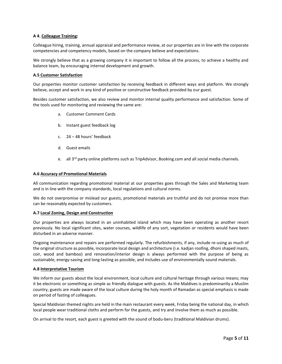## **A 4. Colleague Training:**

Colleague hiring, training, annual appraisal and performance review, at our properties are in line with the corporate competencies and competency models, based on the company believe and expectations.

We strongly believe that as a growing company it is important to follow all the process, to achieve a healthy and balance team, by encouraging internal development and growth.

## **A.5 Customer Satisfaction**

Our properties monitor customer satisfaction by receiving feedback in different ways and platform. We strongly believe, accept and work in any kind of positive or constructive feedback provided by our guest.

Besides customer satisfaction, we also review and monitor internal quality performance and satisfaction. Some of the tools used for monitoring and reviewing the same are:

- a. Customer Comment Cards
- b. Instant guest feedback log
- c. 24 48 hours' feedback
- d. Guest emails
- e. all 3<sup>rd</sup> party online platforms such as TripAdvisor, Booking.com and all social media channels.

## **A.6 Accuracy of Promotional Materials**

All communication regarding promotional material at our properties goes through the Sales and Marketing team and is in line with the company standards, local regulations and cultural norms.

We do not overpromise or mislead our guests, promotional materials are truthful and do not promise more than can be reasonably expected by customers.

## **A.7 Local Zoning, Design and Construction**

Our properties are always located in an uninhabited island which may have been operating as another resort previously. No local significant sites, water courses, wildlife of any sort, vegetation or residents would have been disturbed in an adverse manner.

Ongoing maintenance and repairs are performed regularly. The refurbishments, if any, include re-using as much of the original structure as possible, incorporate local design and architecture (i.e. kadjan roofing, dhoni shaped masts, coir, wood and bamboo) and renovation/interior design is always performed with the purpose of being as sustainable, energy-saving and long-lasting as possible, and includes use of environmentally sound materials.

## **A.8 Interpretative Tourism**

We inform our guests about the local environment, local culture and cultural heritage through various means; may it be electronic or something as simple as friendly dialogue with guests. As the Maldives is predominantly a Muslim country, guests are made aware of the local culture during the holy month of Ramadan as special emphasis is made on period of fasting of colleagues.

Special Maldivian themed nights are held in the main restaurant every week, Friday being the national day, in which local people wear traditional cloths and perform for the guests, and try and involve them as much as possible.

On arrival to the resort, each guest is greeted with the sound of bodu-beru (traditional Maldivian drums).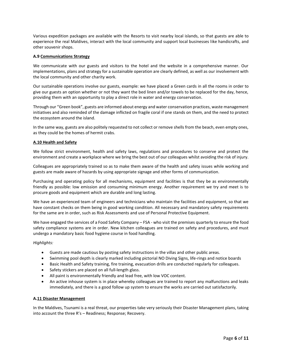Various expedition packages are available with the Resorts to visit nearby local islands, so that guests are able to experience the real Maldives, interact with the local community and support local businesses like handicrafts, and other souvenir shops.

## **A.9 Communications Strategy**

We communicate with our guests and visitors to the hotel and the website in a comprehensive manner. Our implementations, plans and strategy for a sustainable operation are clearly defined, as well as our involvement with the local community and other charity work.

Our sustainable operations involve our guests, example: we have placed a Green cards in all the rooms in order to give our guests an option whether or not they want the bed linen and/or towels to be replaced for the day, hence, providing them with an opportunity to play a direct role in water and energy conservation.

Through our "Green book", guests are informed about energy and water conservation practices, waste management initiatives and also reminded of the damage inflicted on fragile coral if one stands on them, and the need to protect the ecosystem around the island.

In the same way, guests are also politely requested to not collect or remove shells from the beach, even empty ones, as they could be the homes of hermit crabs.

## **A.10 Health and Safety**

We follow strict environment, health and safety laws, regulations and procedures to conserve and protect the environment and create a workplace where we bring the best out of our colleagues whilst avoiding the risk of injury.

Colleagues are appropriately trained so as to make them aware of the health and safety issues while working and guests are made aware of hazards by using appropriate signage and other forms of communication.

Purchasing and operating policy for all mechanisms, equipment and facilities is that they be as environmentally friendly as possible: low emission and consuming minimum energy. Another requirement we try and meet is to procure goods and equipment which are durable and long lasting.

We have an experienced team of engineers and technicians who maintain the facilities and equipment, so that we have constant checks on them being in good working condition. All necessary and mandatory safety requirements for the same are in order, such as Risk Assessments and use of Personal Protective Equipment.

We have engaged the services of a Food Safety Company – FSA - who visit the premises quarterly to ensure the food safety compliance systems are in order. New kitchen colleagues are trained on safety and procedures, and must undergo a mandatory basic food hygiene course in food handling.

## *Highlights:*

- Guests are made cautious by posting safety instructions in the villas and other public areas.
- Swimming pool depth is clearly marked including pictorial NO Diving Signs, life-rings and notice boards
- Basic Health and Safety training, fire training, evacuation drills are conducted regularly for colleagues.
- Safety stickers are placed on all full-length glass.
- All paint is environmentally friendly and lead free, with low VOC content.
- An active inhouse system is in place whereby colleagues are trained to report any malfunctions and leaks immediately, and there is a good follow up system to ensure the works are carried out satisfactorily.

## **A.11 Disaster Management**

In the Maldives, Tsunami is a real threat, our properties take very seriously their Disaster Management plans, taking into account the three R's – Readiness; Response; Recovery.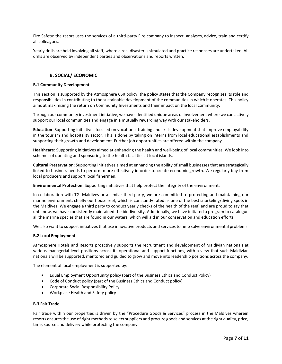Fire Safety: the resort uses the services of a third-party Fire company to inspect, analyses, advice, train and certify all colleagues.

Yearly drills are held involving all staff, where a real disaster is simulated and practice responses are undertaken. All drills are observed by independent parties and observations and reports written.

# **B. SOCIAL/ ECONOMIC**

## **B.1 Community Development**

This section is supported by the Atmosphere CSR policy; the policy states that the Company recognizes its role and responsibilities in contributing to the sustainable development of the communities in which it operates. This policy aims at maximizing the return on Community Investments and their impact on the local community.

Through our community investment initiative, we have identified unique areas of involvement where we can actively support our local communities and engage in a mutually rewarding way with our stakeholders.

**Education**: Supporting initiatives focused on vocational training and skills development that improve employability in the tourism and hospitality sector. This is done by taking on interns from local educational establishments and supporting their growth and development. Further job opportunities are offered within the company.

**Healthcare**: Supporting initiatives aimed at enhancing the health and well-being of local communities. We look into schemes of donating and sponsoring to the health facilities at local islands.

**Cultural Preservation**: Supporting initiatives aimed at enhancing the ability of small businesses that are strategically linked to business needs to perform more effectively in order to create economic growth. We regularly buy from local producers and support local fishermen.

**Environmental Protection**: Supporting initiatives that help protect the integrity of the environment.

In collaboration with TGI Maldives or a similar third party, we are committed to protecting and maintaining our marine environment, chiefly our house reef, which is constantly rated as one of the best snorkeling/diving spots in the Maldives. We engage a third party to conduct yearly checks of the health of the reef, and are proud to say that until now, we have consistently maintained the biodiversity. Additionally, we have initiated a program to catalogue all the marine species that are found in our waters, which will aid in our conservation and education efforts.

We also want to support initiatives that use innovative products and services to help solve environmental problems.

## **B.2 Local Employment**

Atmosphere Hotels and Resorts proactively supports the recruitment and development of Maldivian nationals at various managerial level positions across its operational and support functions, with a view that such Maldivian nationals will be supported, mentored and guided to grow and move into leadership positions across the company.

The element of local employment is supported by:

- Equal Employment Opportunity policy (part of the Business Ethics and Conduct Policy)
- Code of Conduct policy (part of the Business Ethics and Conduct policy)
- Corporate Social Responsibility Policy
- Workplace Health and Safety policy

## **B.3 Fair Trade**

Fair trade within our properties is driven by the "Procedure Goods & Services" process in the Maldives wherein resorts ensures the use of right methods to select suppliers and procure goods and services at the right quality, price, time, source and delivery while protecting the company.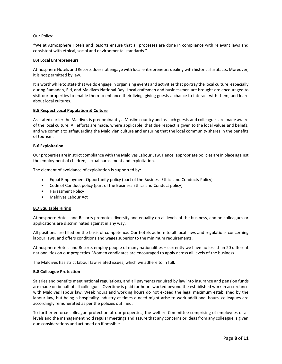## Our Policy:

"We at Atmosphere Hotels and Resorts ensure that all processes are done in compliance with relevant laws and consistent with ethical, social and environmental standards."

## **B.4 Local Entrepreneurs**

Atmosphere Hotels and Resorts does not engage with local entrepreneurs dealing with historical artifacts. Moreover, it is not permitted by law.

It is worthwhile to state that we do engage in organizing events and activities that portray the local culture, especially during Ramadan, Eid, and Maldives National Day. Local craftsmen and businessmen are brought are encouraged to visit our properties to enable them to enhance their living, giving guests a chance to interact with them, and learn about local cultures.

## **B.5 Respect Local Population & Culture**

As stated earlier the Maldives is predominantly a Muslim country and as such guests and colleagues are made aware of the local culture. All efforts are made, where applicable, that due respect is given to the local values and beliefs, and we commit to safeguarding the Maldivian culture and ensuring that the local community shares in the benefits of tourism.

## **B.6 Exploitation**

Our properties are in strict compliance with the Maldives Labour Law. Hence, appropriate policies are in place against the employment of children, sexual harassment and exploitation.

The element of avoidance of exploitation is supported by:

- Equal Employment Opportunity policy (part of the Business Ethics and Conducts Policy)
- Code of Conduct policy (part of the Business Ethics and Conduct policy)
- Harassment Policy
- Maldives Labour Act

# **B.7 Equitable Hiring**

Atmosphere Hotels and Resorts promotes diversity and equality on all levels of the business, and no colleagues or applications are discriminated against in any way.

All positions are filled on the basis of competence. Our hotels adhere to all local laws and regulations concerning labour laws, and offers conditions and wages superior to the minimum requirements.

Atmosphere Hotels and Resorts employ people of many nationalities – currently we have no less than 20 different nationalities on our properties. Women candidates are encouraged to apply across all levels of the business.

The Maldives has strict labour law related issues, which we adhere to in full.

## **B.8 Colleague Protection**

Salaries and benefits meet national regulations, and all payments required by law into insurance and pension funds are made on behalf of all colleagues. Overtime is paid for hours worked beyond the established work in accordance with Maldives labour law. Week hours and working hours do not exceed the legal maximum established by the labour law, but being a hospitality industry at times a need might arise to work additional hours, colleagues are accordingly remunerated as per the policies outlined.

To further enforce colleague protection at our properties, the welfare Committee comprising of employees of all levels and the management hold regular meetings and assure that any concerns or ideas from any colleague is given due considerations and actioned on if possible.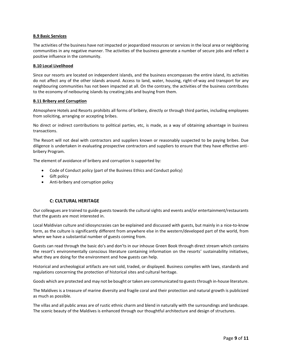## **B.9 Basic Services**

The activities of the business have not impacted or jeopardized resources or services in the local area or neighboring communities in any negative manner. The activities of the business generate a number of secure jobs and reflect a positive influence in the community.

#### **B.10 Local Livelihood**

Since our resorts are located on independent islands, and the business encompasses the entire island, its activities do not affect any of the other islands around. Access to land, water, housing, right-of-way and transport for any neighbouring communities has not been impacted at all. On the contrary, the activities of the business contributes to the economy of neibouring islands by creating jobs and buying from them.

#### **B.11 Bribery and Corruption**

Atmosphere Hotels and Resorts prohibits all forms of bribery, directly or through third parties, including employees from soliciting, arranging or accepting bribes.

No direct or indirect contributions to political parties, etc, is made, as a way of obtaining advantage in business transactions.

The Resort will not deal with contractors and suppliers known or reasonably suspected to be paying bribes. Due diligence is undertaken in evaluating prospective contractors and suppliers to ensure that they have effective antibribery Program.

The element of avoidance of bribery and corruption is supported by:

- Code of Conduct policy (part of the Business Ethics and Conduct policy)
- Gift policy
- Anti-bribery and corruption policy

## **C: CULTURAL HERITAGE**

Our colleagues are trained to guide guests towards the cultural sights and events and/or entertainment/restaurants that the guests are most interested in.

Local Maldivian culture and idiosyncrasies can be explained and discussed with guests, but mainly in a nice-to-know form, as the culture is significantly different from anywhere else in the western/developed part of the world, from where we have a substantial number of guests coming from.

Guests can read through the basic do's and don'ts in our inhouse Green Book through direct stream which contains the resort's environmentally conscious literature containing information on the resorts' sustainability initiatives, what they are doing for the environment and how guests can help.

Historical and archeological artifacts are not sold, traded, or displayed. Business complies with laws, standards and regulations concerning the protection of historical sites and cultural heritage.

Goods which are protected and may not be bought or taken are communicated to guests through in-house literature.

The Maldives is a treasure of marine diversity and fragile coral and their protection and natural growth is publicized as much as possible.

The villas and all public areas are of rustic ethnic charm and blend in naturally with the surroundings and landscape. The scenic beauty of the Maldives is enhanced through our thoughtful architecture and design of structures.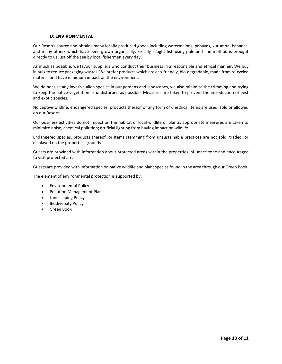## **D: ENVIRONMENTAL**

Our Resorts source and obtains many locally produced goods including watermelons, papayas, kurumba, bananas, and many others which have been grown organically. Freshly caught fish using pole and line method is brought directly to us just off the sea by local fishermen every day.

As much as possible, we favour suppliers who conduct their business in a responsible and ethical manner. We buy in bulk to reduce packaging wastes. We prefer products which are eco-friendly, bio-degradable, made from re-cycled material and have minimum impact on the environment.

We do not use any invasive alien species in our gardens and landscapes, we also minimize the trimming and trying to keep the native vegetation as undisturbed as possible. Measures are taken to prevent the introduction of pest and exotic species.

No captive wildlife, endangered species, products thereof or any form of unethical items are used, sold or allowed on our Resorts.

Our business activities do not impact on the habitat of local wildlife or plants, appropriate measures are taken to minimize noise, chemical pollution; artificial lighting from having impact on wildlife.

Endangered species, products thereof, or items stemming from unsustainable practices are not sold, traded, or displayed on the properties grounds.

Guests are provided with information about protected areas within the properties influence zone and encouraged to visit protected areas.

Guests are provided with information on native wildlife and plant species found in the area through our Green Book.

The element of environmental protection is supported by:

- Environmental Policy
- Pollution Management Plan
- Landscaping Policy
- Biodiversity Policy
- Green Book